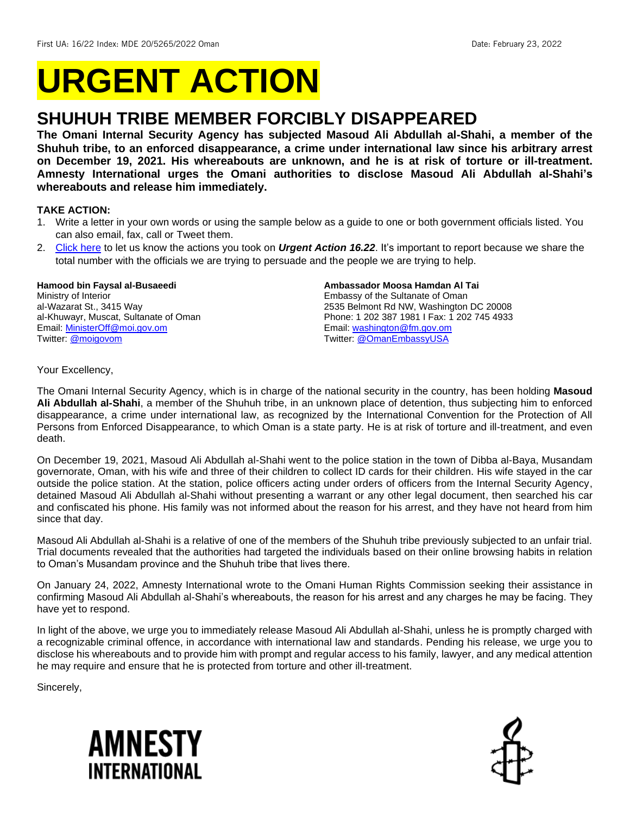# **URGENT ACTION**

## **SHUHUH TRIBE MEMBER FORCIBLY DISAPPEARED**

**The Omani Internal Security Agency has subjected Masoud Ali Abdullah al-Shahi, a member of the Shuhuh tribe, to an enforced disappearance, a crime under international law since his arbitrary arrest on December 19, 2021. His whereabouts are unknown, and he is at risk of torture or ill-treatment. Amnesty International urges the Omani authorities to disclose Masoud Ali Abdullah al-Shahi's whereabouts and release him immediately.**

#### **TAKE ACTION:**

- 1. Write a letter in your own words or using the sample below as a guide to one or both government officials listed. You can also email, fax, call or Tweet them.
- 2. [Click here](https://www.amnestyusa.org/report-urgent-actions/) to let us know the actions you took on *Urgent Action 16.22*. It's important to report because we share the total number with the officials we are trying to persuade and the people we are trying to help.

#### **Hamood bin Faysal al-Busaeedi**

Ministry of Interior al-Wazarat St., 3415 Way al-Khuwayr, Muscat, Sultanate of Oman Email[: MinisterOff@moi.gov.om](mailto:MinisterOff@moi.gov.om) Twitter: [@moigovom](https://twitter.com/moigovom)

#### **Ambassador Moosa Hamdan Al Tai**

Embassy of the Sultanate of Oman 2535 Belmont Rd NW, Washington DC 20008 Phone: 1 202 387 1981 I Fax: 1 202 745 4933 Email: [washington@fm.gov.om](mailto:washington@fm.gov.om) Twitter: [@OmanEmbassyUSA](https://twitter.com/OmanEmbassyUSA)

Your Excellency,

The Omani Internal Security Agency, which is in charge of the national security in the country, has been holding **Masoud Ali Abdullah al-Shahi**, a member of the Shuhuh tribe, in an unknown place of detention, thus subjecting him to enforced disappearance, a crime under international law, as recognized by the International Convention for the Protection of All Persons from Enforced Disappearance, to which Oman is a state party. He is at risk of torture and ill-treatment, and even death.

On December 19, 2021, Masoud Ali Abdullah al-Shahi went to the police station in the town of Dibba al-Baya, Musandam governorate, Oman, with his wife and three of their children to collect ID cards for their children. His wife stayed in the car outside the police station. At the station, police officers acting under orders of officers from the Internal Security Agency, detained Masoud Ali Abdullah al-Shahi without presenting a warrant or any other legal document, then searched his car and confiscated his phone. His family was not informed about the reason for his arrest, and they have not heard from him since that day.

Masoud Ali Abdullah al-Shahi is a relative of one of the members of the Shuhuh tribe previously subjected to an unfair trial. Trial documents revealed that the authorities had targeted the individuals based on their online browsing habits in relation to Oman's Musandam province and the Shuhuh tribe that lives there.

On January 24, 2022, Amnesty International wrote to the Omani Human Rights Commission seeking their assistance in confirming Masoud Ali Abdullah al-Shahi's whereabouts, the reason for his arrest and any charges he may be facing. They have yet to respond.

In light of the above, we urge you to immediately release Masoud Ali Abdullah al-Shahi, unless he is promptly charged with a recognizable criminal offence, in accordance with international law and standards. Pending his release, we urge you to disclose his whereabouts and to provide him with prompt and regular access to his family, lawyer, and any medical attention he may require and ensure that he is protected from torture and other ill-treatment.

Sincerely,